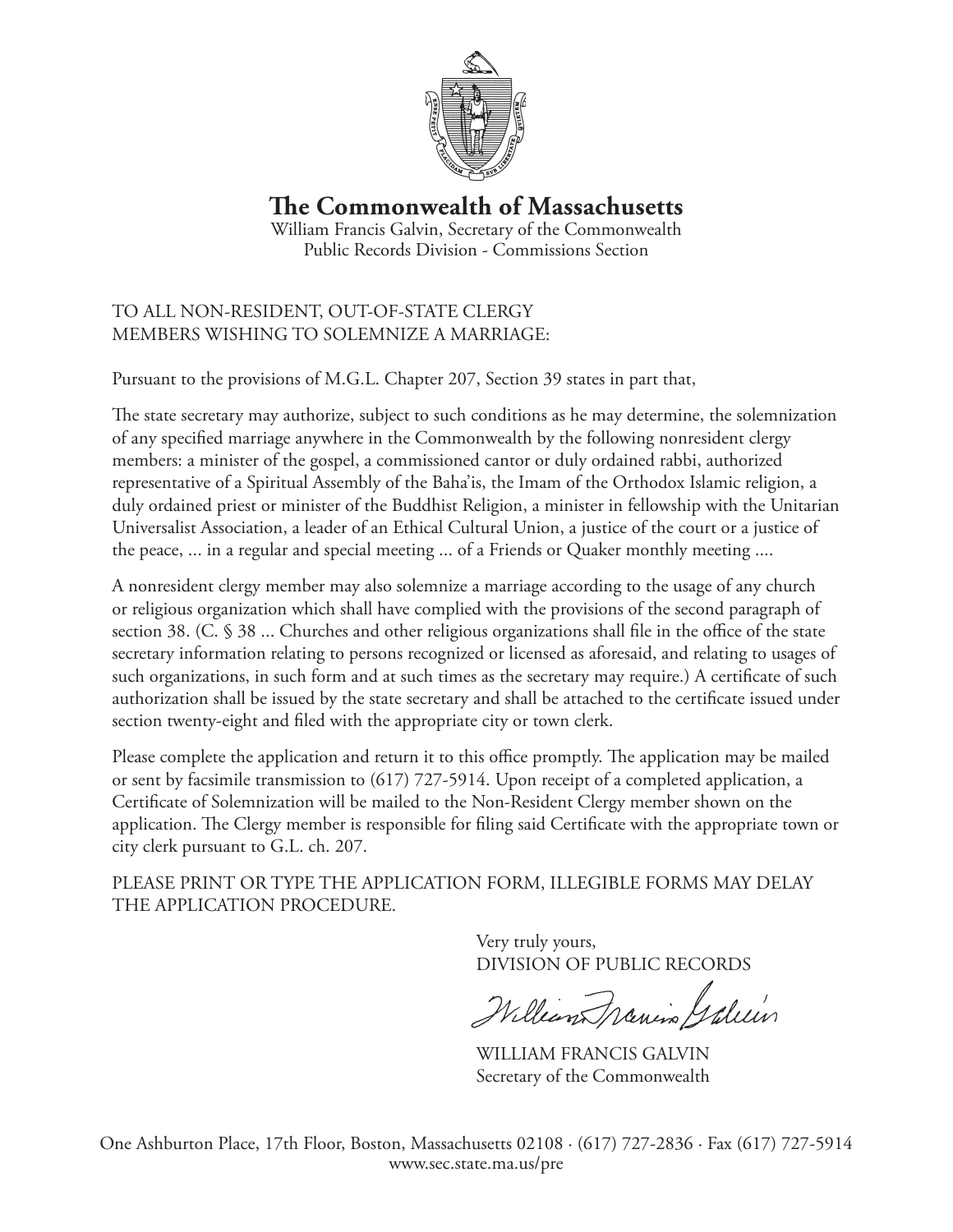

**The Commonwealth of Massachusetts**

William Francis Galvin, Secretary of the Commonwealth Public Records Division - Commissions Section

## TO ALL NON-RESIDENT, OUT-OF-STATE CLERGY MEMBERS WISHING TO SOLEMNIZE A MARRIAGE:

Pursuant to the provisions of M.G.L. Chapter 207, Section 39 states in part that,

The state secretary may authorize, subject to such conditions as he may determine, the solemnization of any specified marriage anywhere in the Commonwealth by the following nonresident clergy members: a minister of the gospel, a commissioned cantor or duly ordained rabbi, authorized representative of a Spiritual Assembly of the Baha'is, the Imam of the Orthodox Islamic religion, a duly ordained priest or minister of the Buddhist Religion, a minister in fellowship with the Unitarian Universalist Association, a leader of an Ethical Cultural Union, a justice of the court or a justice of the peace, ... in a regular and special meeting ... of a Friends or Quaker monthly meeting ....

A nonresident clergy member may also solemnize a marriage according to the usage of any church or religious organization which shall have complied with the provisions of the second paragraph of section 38. (C. § 38 ... Churches and other religious organizations shall file in the office of the state secretary information relating to persons recognized or licensed as aforesaid, and relating to usages of such organizations, in such form and at such times as the secretary may require.) A certificate of such authorization shall be issued by the state secretary and shall be attached to the certificate issued under section twenty-eight and filed with the appropriate city or town clerk.

Please complete the application and return it to this office promptly. The application may be mailed or sent by facsimile transmission to (617) 727-5914. Upon receipt of a completed application, a Certificate of Solemnization will be mailed to the Non-Resident Clergy member shown on the application. The Clergy member is responsible for filing said Certificate with the appropriate town or city clerk pursuant to G.L. ch. 207.

PLEASE PRINT OR TYPE THE APPLICATION FORM, ILLEGIBLE FORMS MAY DELAY THE APPLICATION PROCEDURE.

> Very truly yours, DIVISION OF PUBLIC RECORDS

William Menin Galein

WILLIAM FRANCIS GALVIN Secretary of the Commonwealth